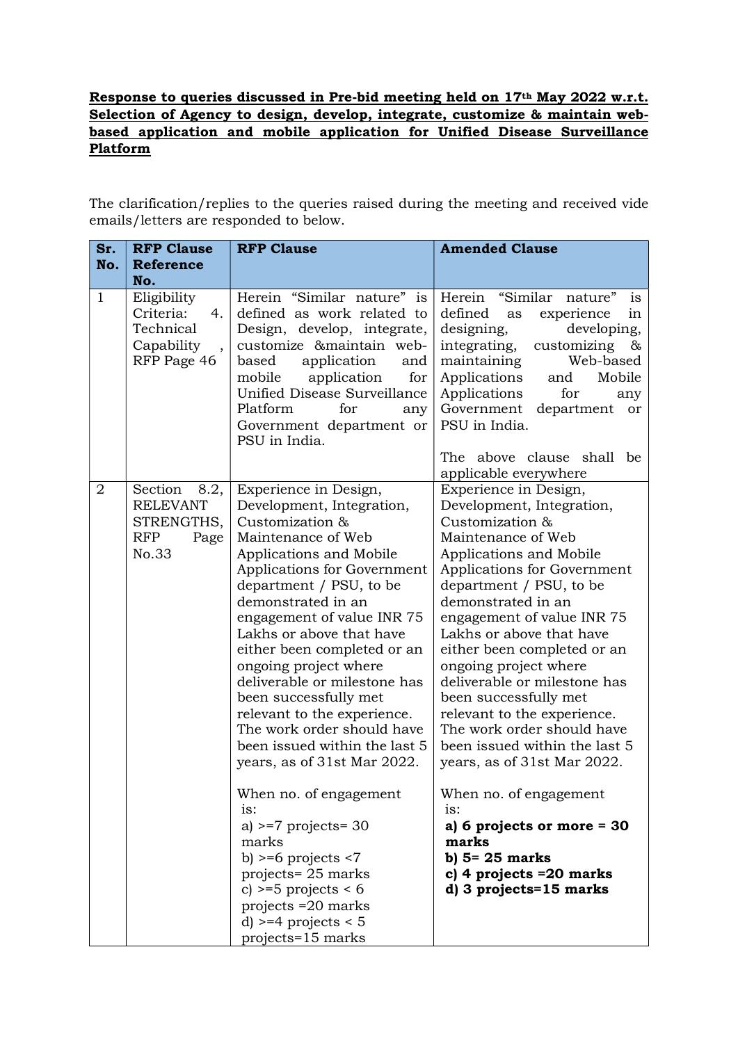## Response to queries discussed in Pre-bid meeting held on 17th May 2022 w.r.t. Selection of Agency to design, develop, integrate, customize & maintain webbased application and mobile application for Unified Disease Surveillance Platform

The clarification/replies to the queries raised during the meeting and received vide emails/letters are responded to below.

| <b>RFP Clause</b><br>Sr.                                                                          | <b>RFP Clause</b>                                                                                                                                                                                                                                                                                                                                                                                                                                                                                                                                                                                                                                                                                                  | <b>Amended Clause</b>                                                                                                                                                                                                                                                                                                                                                                                                                                                                                                                                                                                                                                                   |  |
|---------------------------------------------------------------------------------------------------|--------------------------------------------------------------------------------------------------------------------------------------------------------------------------------------------------------------------------------------------------------------------------------------------------------------------------------------------------------------------------------------------------------------------------------------------------------------------------------------------------------------------------------------------------------------------------------------------------------------------------------------------------------------------------------------------------------------------|-------------------------------------------------------------------------------------------------------------------------------------------------------------------------------------------------------------------------------------------------------------------------------------------------------------------------------------------------------------------------------------------------------------------------------------------------------------------------------------------------------------------------------------------------------------------------------------------------------------------------------------------------------------------------|--|
| No.<br><b>Reference</b>                                                                           |                                                                                                                                                                                                                                                                                                                                                                                                                                                                                                                                                                                                                                                                                                                    |                                                                                                                                                                                                                                                                                                                                                                                                                                                                                                                                                                                                                                                                         |  |
| No.                                                                                               |                                                                                                                                                                                                                                                                                                                                                                                                                                                                                                                                                                                                                                                                                                                    |                                                                                                                                                                                                                                                                                                                                                                                                                                                                                                                                                                                                                                                                         |  |
| Eligibility<br>$\mathbf{1}$<br>Criteria:<br>4.<br>Technical<br>Capability<br>RFP Page 46          | Herein "Similar nature" is<br>defined as work related to<br>Design, develop, integrate,<br>customize &maintain web-<br>based<br>application<br>and<br>mobile application<br>for<br>Unified Disease Surveillance<br>Platform<br>for<br>any<br>Government department or<br>PSU in India.                                                                                                                                                                                                                                                                                                                                                                                                                             | Herein "Similar<br>nature"<br>is<br>defined<br>experience<br>in<br>as<br>designing,<br>developing,<br>integrating,<br>customizing<br>&<br>maintaining<br>Web-based<br>Applications<br>and<br>Mobile<br>Applications<br>for<br>any<br>Government<br>department or<br>PSU in India.<br>The above clause shall be                                                                                                                                                                                                                                                                                                                                                          |  |
|                                                                                                   |                                                                                                                                                                                                                                                                                                                                                                                                                                                                                                                                                                                                                                                                                                                    | applicable everywhere                                                                                                                                                                                                                                                                                                                                                                                                                                                                                                                                                                                                                                                   |  |
| $\overline{2}$<br>Section<br>8.2,<br><b>RELEVANT</b><br>STRENGTHS,<br><b>RFP</b><br>Page<br>No.33 | Experience in Design,<br>Development, Integration,<br>Customization &<br>Maintenance of Web<br>Applications and Mobile<br>Applications for Government<br>department / PSU, to be<br>demonstrated in an<br>engagement of value INR 75<br>Lakhs or above that have<br>either been completed or an<br>ongoing project where<br>deliverable or milestone has<br>been successfully met<br>relevant to the experience.<br>The work order should have<br>been issued within the last 5<br>years, as of 31st Mar 2022.<br>When no. of engagement<br>$1S$ :<br>a) $>=7$ projects = 30<br>marks<br>b) $>= 6$ projects $< 7$<br>projects= 25 marks<br>c) $>=5$ projects < 6<br>projects $=20$ marks<br>d) $>=$ 4 projects < 5 | Experience in Design,<br>Development, Integration,<br>Customization &<br>Maintenance of Web<br>Applications and Mobile<br>Applications for Government<br>department / PSU, to be<br>demonstrated in an<br>engagement of value INR 75<br>Lakhs or above that have<br>either been completed or an<br>ongoing project where<br>deliverable or milestone has<br>been successfully met<br>relevant to the experience.<br>The work order should have<br>been issued within the last 5<br>years, as of 31st Mar 2022.<br>When no. of engagement<br>$1S$ :<br>a) 6 projects or more $=$ 30<br>marks<br>b) $5 = 25$ marks<br>c) 4 projects $=20$ marks<br>d) 3 projects=15 marks |  |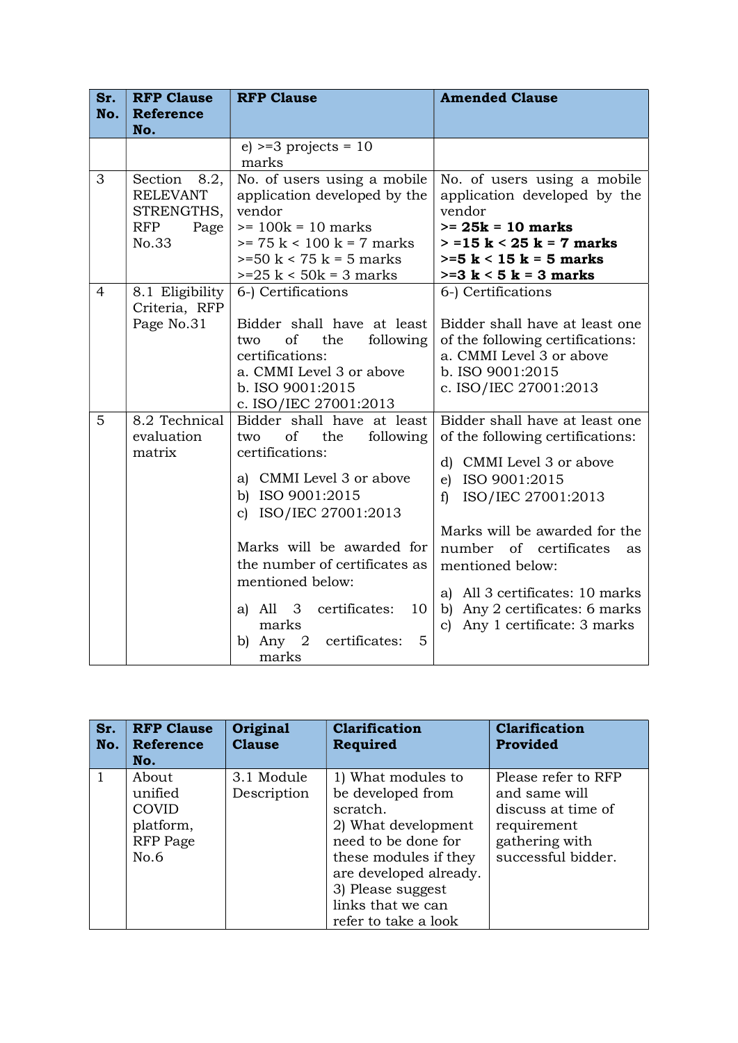| Sr.            | <b>RFP Clause</b>  | <b>RFP Clause</b>                                 | <b>Amended Clause</b>              |  |
|----------------|--------------------|---------------------------------------------------|------------------------------------|--|
| No.            | <b>Reference</b>   |                                                   |                                    |  |
|                | No.                |                                                   |                                    |  |
|                |                    | $e$ ) >=3 projects = 10                           |                                    |  |
|                |                    | marks                                             |                                    |  |
| 3              | Section<br>8.2,    | No. of users using a mobile                       | No. of users using a mobile        |  |
|                | <b>RELEVANT</b>    | application developed by the                      | application developed by the       |  |
|                | STRENGTHS,         | vendor                                            | vendor                             |  |
|                | <b>RFP</b><br>Page | $>= 100k = 10$ marks                              | $>= 25k = 10$ marks                |  |
|                | No.33              | $>= 75 k < 100 k = 7 marks$                       | $>$ =15 k < 25 k = 7 marks         |  |
|                |                    | $>=50 \text{ k} < 75 \text{ k} = 5 \text{ marks}$ | $>=5$ k < 15 k = 5 marks           |  |
|                |                    | $>=25 k < 50k = 3 marks$                          | $>=3 k < 5 k = 3 marks$            |  |
| $\overline{4}$ | 8.1 Eligibility    | 6-) Certifications                                | 6-) Certifications                 |  |
|                | Criteria, RFP      |                                                   |                                    |  |
|                | Page No.31         | Bidder shall have at least                        | Bidder shall have at least one     |  |
|                |                    | of<br>the<br>following<br>two                     | of the following certifications:   |  |
|                |                    | certifications:                                   | a. CMMI Level 3 or above           |  |
|                |                    | a. CMMI Level 3 or above                          | b. ISO 9001:2015                   |  |
|                |                    | b. ISO 9001:2015<br>c. ISO/IEC 27001:2013         | c. ISO/IEC 27001:2013              |  |
| 5              | 8.2 Technical      | Bidder shall have at least                        | Bidder shall have at least one     |  |
|                | evaluation         | of<br>the<br>following<br>two                     | of the following certifications:   |  |
|                | matrix             | certifications:                                   |                                    |  |
|                |                    |                                                   | d) CMMI Level 3 or above           |  |
|                |                    | a) CMMI Level 3 or above                          | e) ISO 9001:2015                   |  |
|                |                    | b) ISO 9001:2015                                  | ISO/IEC 27001:2013<br>$\mathbf{f}$ |  |
|                |                    | c) ISO/IEC 27001:2013                             |                                    |  |
|                |                    |                                                   | Marks will be awarded for the      |  |
|                |                    | Marks will be awarded for                         | number of certificates<br>as       |  |
|                |                    | the number of certificates as                     | mentioned below:                   |  |
|                |                    | mentioned below:                                  |                                    |  |
|                |                    |                                                   | a) All 3 certificates: 10 marks    |  |
|                |                    | certificates:<br>a) $All \quad 3$<br>10           | b) Any 2 certificates: 6 marks     |  |
|                |                    | marks                                             | c) Any 1 certificate: 3 marks      |  |
|                |                    | b) Any $2$<br>5<br>certificates:                  |                                    |  |
|                |                    | marks                                             |                                    |  |

| Sr.<br>No. | <b>RFP Clause</b><br><b>Reference</b>                             | Original<br><b>Clause</b> | <b>Clarification</b><br>Required                                                                                                                                          | <b>Clarification</b><br>Provided                                                                                  |
|------------|-------------------------------------------------------------------|---------------------------|---------------------------------------------------------------------------------------------------------------------------------------------------------------------------|-------------------------------------------------------------------------------------------------------------------|
|            | No.<br>About<br>unified<br>COVID<br>platform,<br>RFP Page<br>No.6 | 3.1 Module<br>Description | 1) What modules to<br>be developed from<br>scratch.<br>2) What development<br>need to be done for<br>these modules if they<br>are developed already.<br>3) Please suggest | Please refer to RFP<br>and same will<br>discuss at time of<br>requirement<br>gathering with<br>successful bidder. |
|            |                                                                   |                           | links that we can<br>refer to take a look                                                                                                                                 |                                                                                                                   |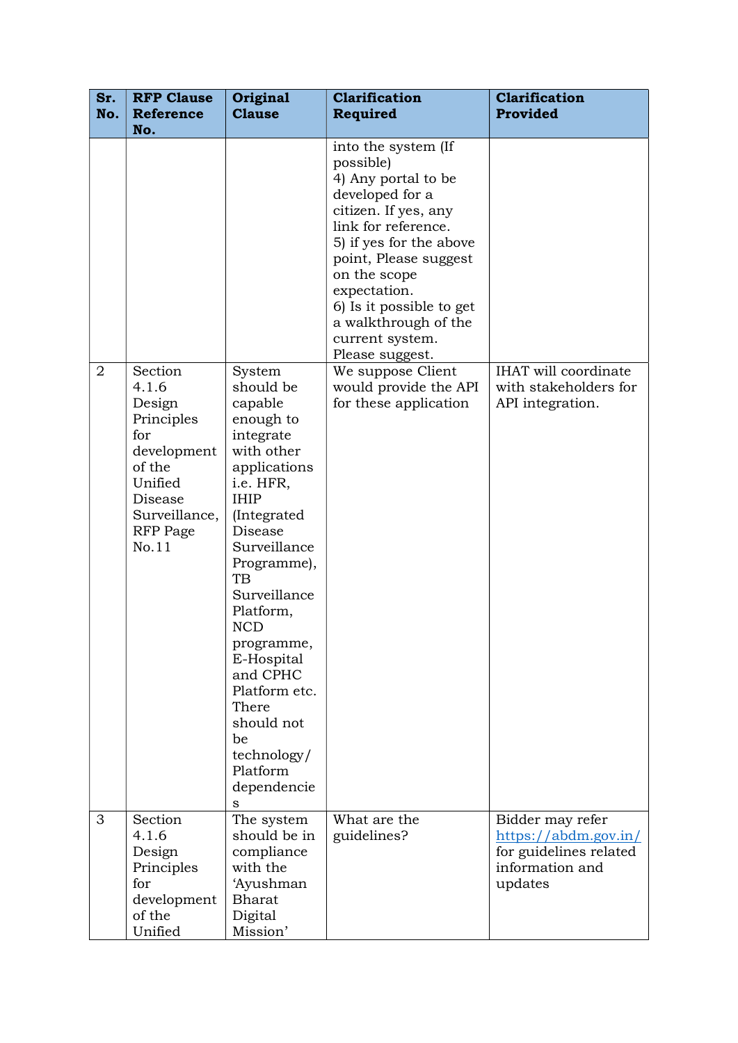| Sr.<br>No.     | <b>RFP Clause</b><br><b>Reference</b><br>No.                                                                                         | Original<br><b>Clause</b>                                                                                                                                                                                                                                                                                                                                         | <b>Clarification</b><br><b>Required</b>                                                                                                                                                                                                                                                                 | <b>Clarification</b><br>Provided                                                                           |
|----------------|--------------------------------------------------------------------------------------------------------------------------------------|-------------------------------------------------------------------------------------------------------------------------------------------------------------------------------------------------------------------------------------------------------------------------------------------------------------------------------------------------------------------|---------------------------------------------------------------------------------------------------------------------------------------------------------------------------------------------------------------------------------------------------------------------------------------------------------|------------------------------------------------------------------------------------------------------------|
|                |                                                                                                                                      |                                                                                                                                                                                                                                                                                                                                                                   | into the system (If<br>possible)<br>4) Any portal to be<br>developed for a<br>citizen. If yes, any<br>link for reference.<br>5) if yes for the above<br>point, Please suggest<br>on the scope<br>expectation.<br>6) Is it possible to get<br>a walkthrough of the<br>current system.<br>Please suggest. |                                                                                                            |
| $\overline{2}$ | Section<br>4.1.6<br>Design<br>Principles<br>for<br>development<br>of the<br>Unified<br>Disease<br>Surveillance,<br>RFP Page<br>No.11 | System<br>should be<br>capable<br>enough to<br>integrate<br>with other<br>applications<br>i.e. HFR,<br><b>IHIP</b><br>(Integrated<br>Disease<br>Surveillance<br>Programme),<br>TB<br>Surveillance<br>Platform,<br><b>NCD</b><br>programme,<br>E-Hospital<br>and CPHC<br>Platform etc.<br>There<br>should not<br>be<br>technology/<br>Platform<br>dependencie<br>S | We suppose Client<br>would provide the API<br>for these application                                                                                                                                                                                                                                     | <b>IHAT</b> will coordinate<br>with stakeholders for<br>API integration.                                   |
| 3              | Section<br>4.1.6<br>Design<br>Principles<br>for<br>development<br>of the<br>Unified                                                  | The system<br>should be in<br>compliance<br>with the<br>'Ayushman<br><b>Bharat</b><br>Digital<br>Mission'                                                                                                                                                                                                                                                         | What are the<br>guidelines?                                                                                                                                                                                                                                                                             | Bidder may refer<br>$\frac{https://abdm.gov.in/}{$<br>for guidelines related<br>information and<br>updates |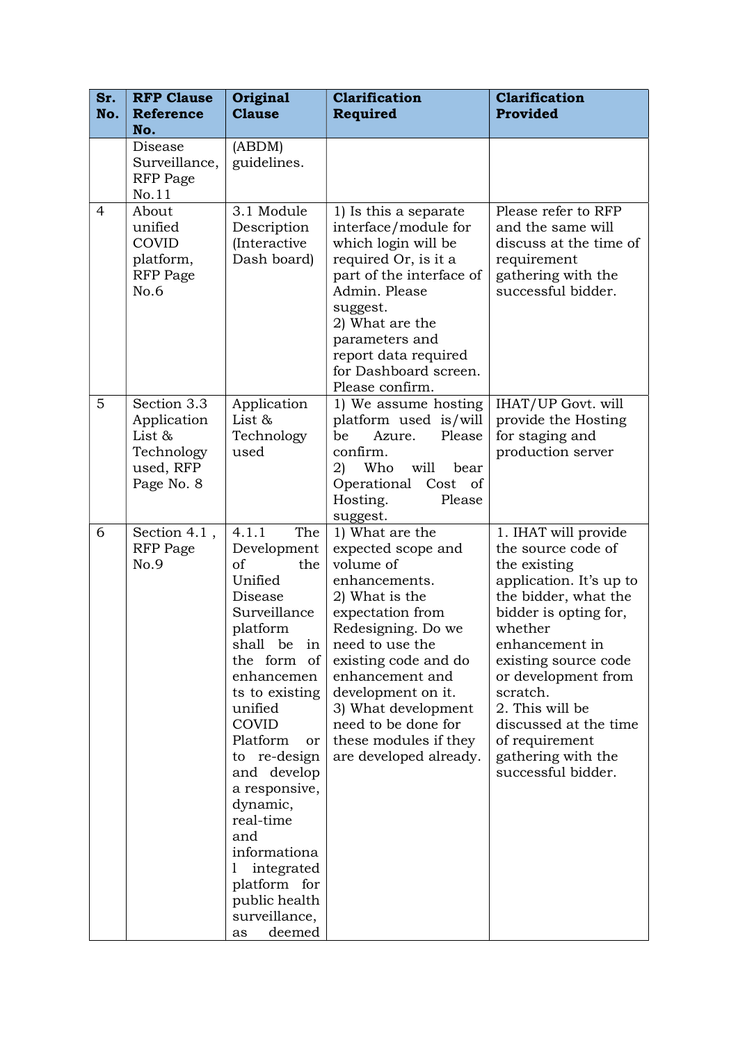| Sr.<br>No.     | <b>RFP Clause</b><br><b>Reference</b><br>No.                                  | Original<br><b>Clause</b>                                                                                                                                                                                                                                                                                                                                            | <b>Clarification</b><br>Required                                                                                                                                                                                                                                                                                                 | <b>Clarification</b><br>Provided                                                                                                                                                                                                                                                                                                         |
|----------------|-------------------------------------------------------------------------------|----------------------------------------------------------------------------------------------------------------------------------------------------------------------------------------------------------------------------------------------------------------------------------------------------------------------------------------------------------------------|----------------------------------------------------------------------------------------------------------------------------------------------------------------------------------------------------------------------------------------------------------------------------------------------------------------------------------|------------------------------------------------------------------------------------------------------------------------------------------------------------------------------------------------------------------------------------------------------------------------------------------------------------------------------------------|
|                | Disease<br>Surveillance,<br><b>RFP</b> Page<br>No.11                          | (ABDM)<br>guidelines.                                                                                                                                                                                                                                                                                                                                                |                                                                                                                                                                                                                                                                                                                                  |                                                                                                                                                                                                                                                                                                                                          |
| $\overline{4}$ | About<br>unified<br>COVID<br>platform,<br><b>RFP</b> Page<br>No.6             | 3.1 Module<br>Description<br>(Interactive<br>Dash board)                                                                                                                                                                                                                                                                                                             | 1) Is this a separate<br>interface/module for<br>which login will be<br>required Or, is it a<br>part of the interface of<br>Admin. Please<br>suggest.<br>2) What are the<br>parameters and<br>report data required<br>for Dashboard screen.<br>Please confirm.                                                                   | Please refer to RFP<br>and the same will<br>discuss at the time of<br>requirement<br>gathering with the<br>successful bidder.                                                                                                                                                                                                            |
| 5              | Section 3.3<br>Application<br>List &<br>Technology<br>used, RFP<br>Page No. 8 | Application<br>List &<br>Technology<br>used                                                                                                                                                                                                                                                                                                                          | 1) We assume hosting<br>platform used is/will<br>Please<br>be<br>Azure.<br>confirm.<br>Who<br>will<br>2)<br>bear<br>Operational Cost of<br>Hosting.<br>Please<br>suggest.                                                                                                                                                        | IHAT/UP Govt. will<br>provide the Hosting<br>for staging and<br>production server                                                                                                                                                                                                                                                        |
| 6              | Section 4.1,<br><b>RFP</b> Page<br>No.9                                       | 4.1.1<br>The<br>Development<br>of<br>the<br>Unified<br>Disease<br>Surveillance<br>platform<br>the form of<br>enhancemen<br>ts to existing<br>unified<br>COVID<br>Platform<br>or<br>to re-design<br>and develop<br>a responsive,<br>dynamic,<br>real-time<br>and<br>informationa<br>integrated<br>1<br>platform for<br>public health<br>surveillance,<br>deemed<br>as | 1) What are the<br>expected scope and<br>volume of<br>enhancements.<br>2) What is the<br>expectation from<br>Redesigning. Do we<br>shall be in need to use the<br>existing code and do<br>enhancement and<br>development on it.<br>3) What development<br>need to be done for<br>these modules if they<br>are developed already. | 1. IHAT will provide<br>the source code of<br>the existing<br>application. It's up to<br>the bidder, what the<br>bidder is opting for,<br>whether<br>enhancement in<br>existing source code<br>or development from<br>scratch.<br>2. This will be<br>discussed at the time<br>of requirement<br>gathering with the<br>successful bidder. |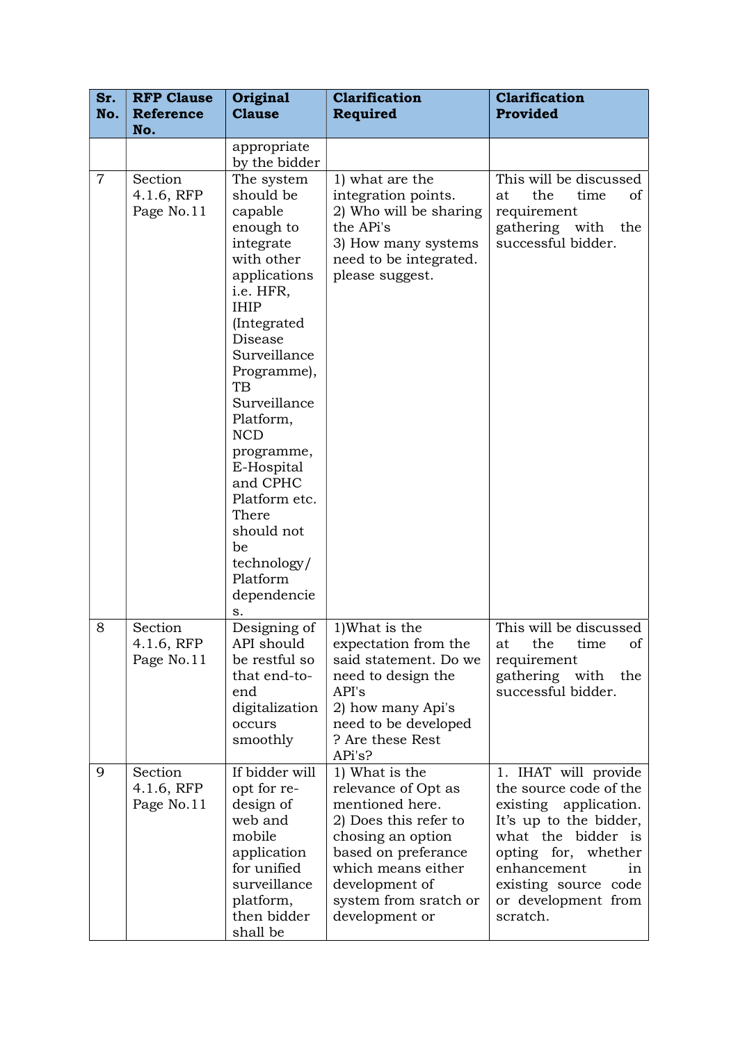| Sr.<br>No.     | <b>RFP Clause</b><br><b>Reference</b> | Original<br><b>Clause</b>                                                                                                                                                                                                                                                                                                                                                                | <b>Clarification</b><br>Required                                                                                                                                                                                 | <b>Clarification</b><br>Provided                                                                                                                                                                                               |
|----------------|---------------------------------------|------------------------------------------------------------------------------------------------------------------------------------------------------------------------------------------------------------------------------------------------------------------------------------------------------------------------------------------------------------------------------------------|------------------------------------------------------------------------------------------------------------------------------------------------------------------------------------------------------------------|--------------------------------------------------------------------------------------------------------------------------------------------------------------------------------------------------------------------------------|
|                | No.                                   | appropriate                                                                                                                                                                                                                                                                                                                                                                              |                                                                                                                                                                                                                  |                                                                                                                                                                                                                                |
| $\overline{7}$ | Section<br>4.1.6, RFP<br>Page No.11   | by the bidder<br>The system<br>should be<br>capable<br>enough to<br>integrate<br>with other<br>applications<br>i.e. HFR,<br><b>IHIP</b><br>(Integrated)<br>Disease<br>Surveillance<br>Programme),<br>TB<br>Surveillance<br>Platform,<br><b>NCD</b><br>programme,<br>E-Hospital<br>and CPHC<br>Platform etc.<br>There<br>should not<br>be<br>technology/<br>Platform<br>dependencie<br>S. | 1) what are the<br>integration points.<br>2) Who will be sharing<br>the APi's<br>3) How many systems<br>need to be integrated.<br>please suggest.                                                                | This will be discussed<br>the<br>time<br>at<br>οf<br>requirement<br>gathering with<br>the<br>successful bidder.                                                                                                                |
| 8              | Section<br>4.1.6, RFP<br>Page No.11   | Designing of<br>API should<br>be restful so<br>that end-to-<br>end<br>digitalization<br>occurs<br>smoothly                                                                                                                                                                                                                                                                               | 1) What is the<br>expectation from the<br>said statement. Do we<br>need to design the<br>API's<br>2) how many Api's<br>need to be developed<br>? Are these Rest<br>APi's?                                        | This will be discussed<br>at the time<br>Οİ<br>requirement<br>gathering with<br>the<br>successful bidder.                                                                                                                      |
| 9              | Section<br>4.1.6, RFP<br>Page No.11   | If bidder will<br>opt for re-<br>design of<br>web and<br>mobile<br>application<br>for unified<br>surveillance<br>platform,<br>then bidder<br>shall be                                                                                                                                                                                                                                    | 1) What is the<br>relevance of Opt as<br>mentioned here.<br>2) Does this refer to<br>chosing an option<br>based on preferance<br>which means either<br>development of<br>system from sratch or<br>development or | 1. IHAT will provide<br>the source code of the<br>existing application.<br>It's up to the bidder,<br>what the bidder is<br>opting for, whether<br>enhancement<br>in<br>existing source code<br>or development from<br>scratch. |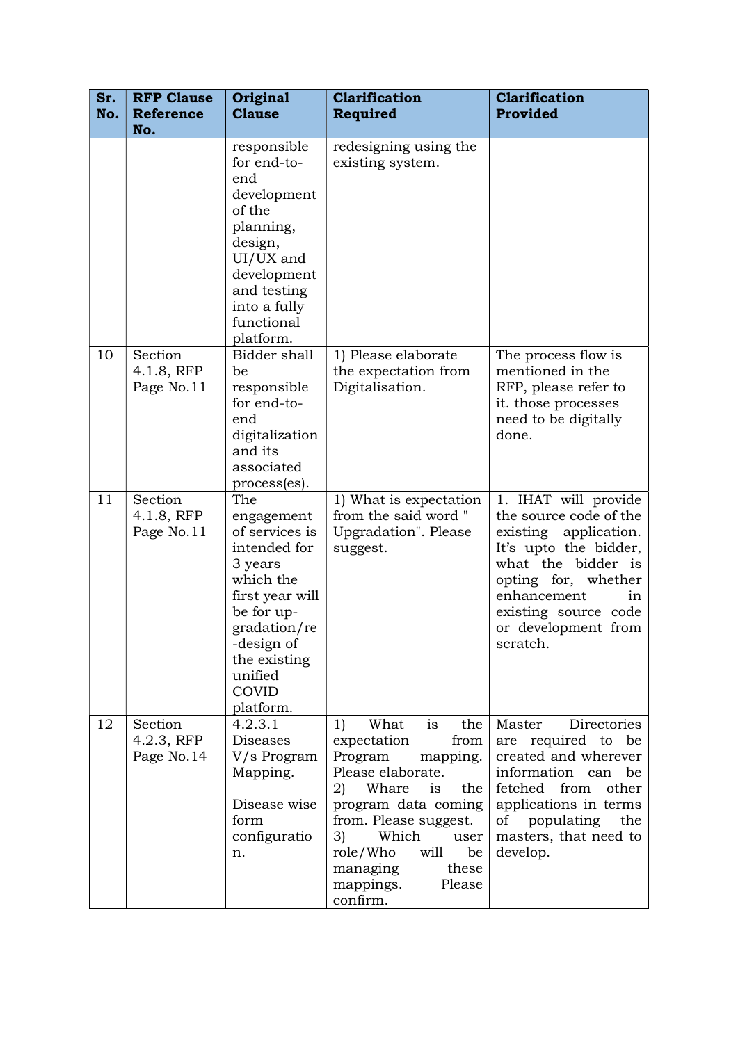| Sr.<br>No. | <b>RFP Clause</b><br><b>Reference</b><br>No. | Original<br><b>Clause</b>                                                                                                                                                                   | <b>Clarification</b><br>Required                                                                                                                                                                                                                                                | Clarification<br>Provided                                                                                                                                                                                                     |
|------------|----------------------------------------------|---------------------------------------------------------------------------------------------------------------------------------------------------------------------------------------------|---------------------------------------------------------------------------------------------------------------------------------------------------------------------------------------------------------------------------------------------------------------------------------|-------------------------------------------------------------------------------------------------------------------------------------------------------------------------------------------------------------------------------|
|            |                                              | responsible<br>for end-to-<br>end<br>development<br>of the<br>planning,<br>design,<br>UI/UX and<br>development<br>and testing<br>into a fully<br>functional<br>platform.                    | redesigning using the<br>existing system.                                                                                                                                                                                                                                       |                                                                                                                                                                                                                               |
| 10         | Section<br>4.1.8, RFP<br>Page No.11          | Bidder shall<br>be<br>responsible<br>for end-to-<br>end<br>digitalization<br>and its<br>associated<br>process(es).                                                                          | 1) Please elaborate<br>the expectation from<br>Digitalisation.                                                                                                                                                                                                                  | The process flow is<br>mentioned in the<br>RFP, please refer to<br>it. those processes<br>need to be digitally<br>done.                                                                                                       |
| 11         | Section<br>4.1.8, RFP<br>Page No.11          | The<br>engagement<br>of services is<br>intended for<br>3 years<br>which the<br>first year will<br>be for up-<br>gradation/re<br>-design of<br>the existing<br>unified<br>COVID<br>platform. | 1) What is expectation<br>from the said word"<br>Upgradation". Please<br>suggest.                                                                                                                                                                                               | 1. IHAT will provide<br>the source code of the<br>existing application.<br>It's upto the bidder,<br>what the bidder is<br>opting for, whether<br>enhancement<br>in<br>existing source code<br>or development from<br>scratch. |
| 12         | Section<br>4.2.3, RFP<br>Page No.14          | 4.2.3.1<br>Diseases<br>V/s Program<br>Mapping.<br>Disease wise<br>form<br>configuratio<br>n.                                                                                                | What<br>is<br>the<br>1)<br>expectation<br>from<br>mapping.<br>Program<br>Please elaborate.<br>2)<br>Whare<br>is<br>the<br>program data coming<br>from. Please suggest.<br>Which<br>3)<br>user<br>role/Who<br>will<br>be<br>managing<br>these<br>Please<br>mappings.<br>confirm. | Master<br>Directories<br>are required to be<br>created and wherever<br>information can<br>be<br>fetched<br>from<br>other<br>applications in terms<br>populating<br>of<br>the<br>masters, that need to<br>develop.             |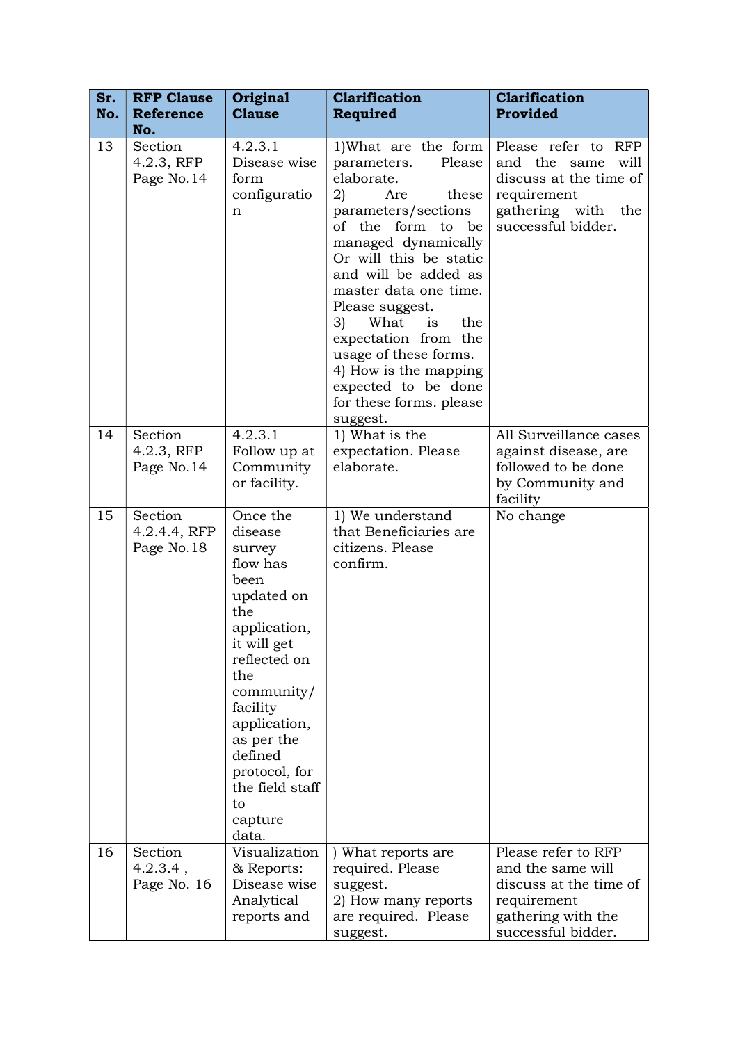| Sr.<br>No. | <b>RFP Clause</b><br><b>Reference</b><br>No. | Original<br><b>Clause</b>                                                                                                                                                                                                                                     | <b>Clarification</b><br><b>Required</b>                                                                                                                                                                                                                                                                                                                                                                               | <b>Clarification</b><br>Provided                                                                                                    |
|------------|----------------------------------------------|---------------------------------------------------------------------------------------------------------------------------------------------------------------------------------------------------------------------------------------------------------------|-----------------------------------------------------------------------------------------------------------------------------------------------------------------------------------------------------------------------------------------------------------------------------------------------------------------------------------------------------------------------------------------------------------------------|-------------------------------------------------------------------------------------------------------------------------------------|
| 13         | Section<br>4.2.3, RFP<br>Page No.14          | 4.2.3.1<br>Disease wise<br>form<br>configuratio<br>n                                                                                                                                                                                                          | 1) What are the form<br>Please<br>parameters.<br>elaborate.<br>2)<br>Are<br>these<br>parameters/sections<br>of the form to be<br>managed dynamically<br>Or will this be static<br>and will be added as<br>master data one time.<br>Please suggest.<br>3)<br>What<br>is<br>the<br>expectation from the<br>usage of these forms.<br>4) How is the mapping<br>expected to be done<br>for these forms. please<br>suggest. | Please refer to RFP<br>and the same<br>will<br>discuss at the time of<br>requirement<br>gathering with<br>the<br>successful bidder. |
| 14         | Section<br>4.2.3, RFP<br>Page No.14          | 4.2.3.1<br>Follow up at<br>Community<br>or facility.                                                                                                                                                                                                          | 1) What is the<br>expectation. Please<br>elaborate.                                                                                                                                                                                                                                                                                                                                                                   | All Surveillance cases<br>against disease, are<br>followed to be done<br>by Community and<br>facility                               |
| 15         | Section<br>4.2.4.4, RFP<br>Page No.18        | Once the<br>disease<br>survey<br>flow has<br>been<br>updated on<br>the<br>application,<br>it will get<br>reflected on<br>the<br>community/<br>facility<br>application,<br>as per the<br>defined<br>protocol, for<br>the field staff<br>to<br>capture<br>data. | 1) We understand<br>that Beneficiaries are<br>citizens. Please<br>confirm.                                                                                                                                                                                                                                                                                                                                            | No change                                                                                                                           |
| 16         | Section<br>$4.2.3.4$ ,<br>Page No. 16        | Visualization<br>& Reports:<br>Disease wise<br>Analytical<br>reports and                                                                                                                                                                                      | ) What reports are<br>required. Please<br>suggest.<br>2) How many reports<br>are required. Please<br>suggest.                                                                                                                                                                                                                                                                                                         | Please refer to RFP<br>and the same will<br>discuss at the time of<br>requirement<br>gathering with the<br>successful bidder.       |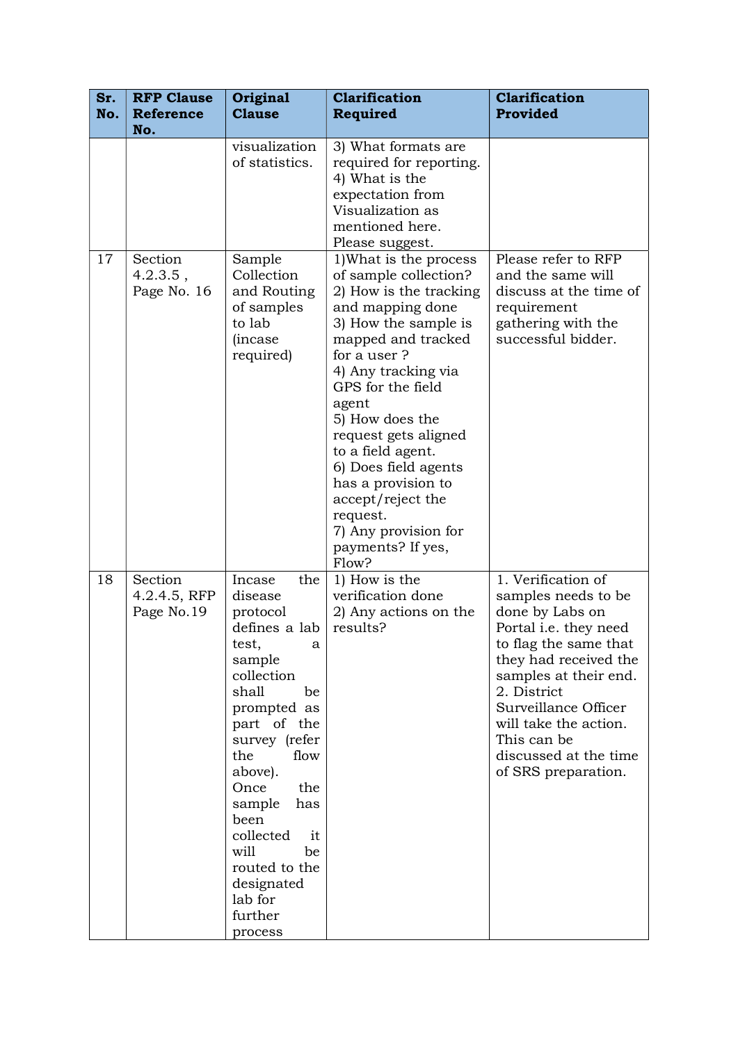| Sr.<br>No. | <b>RFP Clause</b><br><b>Reference</b> | Original<br><b>Clause</b>                                                                                                                                                                                                                                                                                                    | <b>Clarification</b><br><b>Required</b>                                                                                                                                                                                                                                                                                                                                                                              | <b>Clarification</b><br>Provided                                                                                                                                                                                                                                                                |
|------------|---------------------------------------|------------------------------------------------------------------------------------------------------------------------------------------------------------------------------------------------------------------------------------------------------------------------------------------------------------------------------|----------------------------------------------------------------------------------------------------------------------------------------------------------------------------------------------------------------------------------------------------------------------------------------------------------------------------------------------------------------------------------------------------------------------|-------------------------------------------------------------------------------------------------------------------------------------------------------------------------------------------------------------------------------------------------------------------------------------------------|
|            | No.                                   | visualization                                                                                                                                                                                                                                                                                                                | 3) What formats are                                                                                                                                                                                                                                                                                                                                                                                                  |                                                                                                                                                                                                                                                                                                 |
|            |                                       | of statistics.                                                                                                                                                                                                                                                                                                               | required for reporting.<br>4) What is the<br>expectation from<br>Visualization as<br>mentioned here.<br>Please suggest.                                                                                                                                                                                                                                                                                              |                                                                                                                                                                                                                                                                                                 |
| 17         | Section<br>$4.2.3.5$ ,<br>Page No. 16 | Sample<br>Collection<br>and Routing<br>of samples<br>to lab<br><i>(incase)</i><br>required)                                                                                                                                                                                                                                  | 1) What is the process<br>of sample collection?<br>2) How is the tracking<br>and mapping done<br>3) How the sample is<br>mapped and tracked<br>for a user?<br>4) Any tracking via<br>GPS for the field<br>agent<br>5) How does the<br>request gets aligned<br>to a field agent.<br>6) Does field agents<br>has a provision to<br>accept/reject the<br>request.<br>7) Any provision for<br>payments? If yes,<br>Flow? | Please refer to RFP<br>and the same will<br>discuss at the time of<br>requirement<br>gathering with the<br>successful bidder.                                                                                                                                                                   |
| 18         | Section<br>4.2.4.5, RFP<br>Page No.19 | Incase<br>the<br>disease<br>protocol<br>defines a lab<br>test,<br>a<br>sample<br>collection<br>shall<br>be<br>prompted as<br>part of the<br>survey (refer<br>the<br>flow<br>above).<br>Once<br>the<br>sample<br>has<br>been<br>collected<br>it<br>will<br>be<br>routed to the<br>designated<br>lab for<br>further<br>process | 1) How is the<br>verification done<br>2) Any actions on the<br>results?                                                                                                                                                                                                                                                                                                                                              | 1. Verification of<br>samples needs to be<br>done by Labs on<br>Portal i.e. they need<br>to flag the same that<br>they had received the<br>samples at their end.<br>2. District<br>Surveillance Officer<br>will take the action.<br>This can be<br>discussed at the time<br>of SRS preparation. |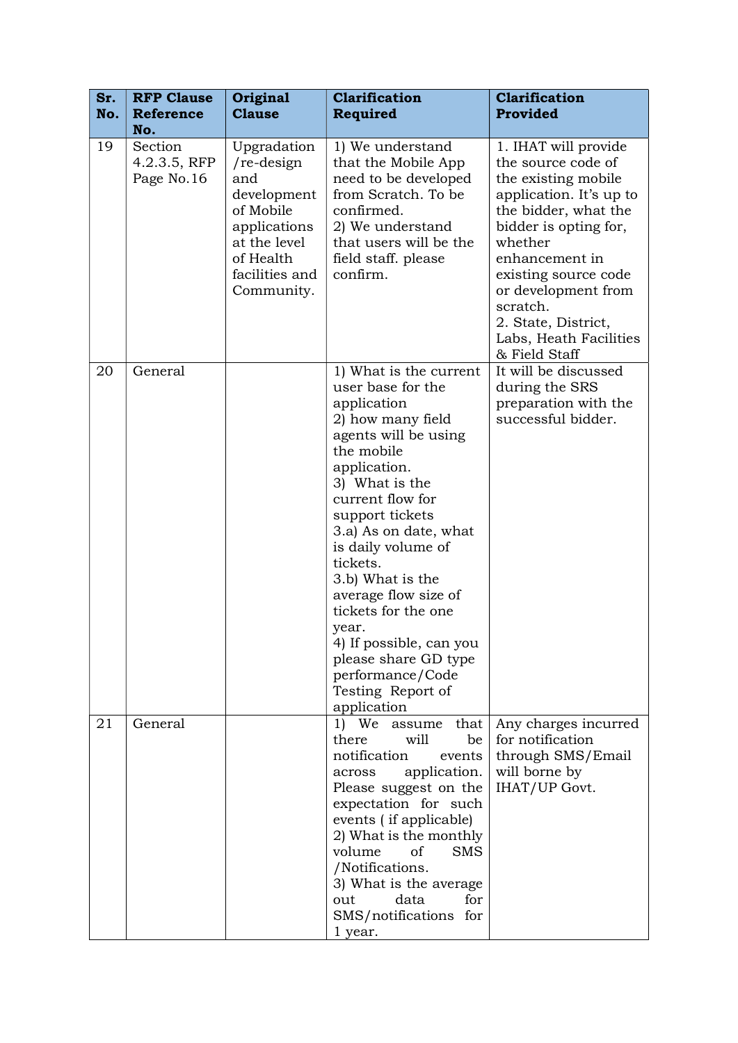| Sr.<br>No. | <b>RFP Clause</b><br><b>Reference</b> | Original<br><b>Clause</b>                                                                                                                   | <b>Clarification</b><br>Required                                                                                                                                                                                                                                                                                                                                                                                                                 | <b>Clarification</b><br>Provided                                                                                                                                                                                                                                                                        |
|------------|---------------------------------------|---------------------------------------------------------------------------------------------------------------------------------------------|--------------------------------------------------------------------------------------------------------------------------------------------------------------------------------------------------------------------------------------------------------------------------------------------------------------------------------------------------------------------------------------------------------------------------------------------------|---------------------------------------------------------------------------------------------------------------------------------------------------------------------------------------------------------------------------------------------------------------------------------------------------------|
|            | No.                                   |                                                                                                                                             |                                                                                                                                                                                                                                                                                                                                                                                                                                                  |                                                                                                                                                                                                                                                                                                         |
| 19         | Section<br>4.2.3.5, RFP<br>Page No.16 | Upgradation<br>$re$ -design<br>and<br>development<br>of Mobile<br>applications<br>at the level<br>of Health<br>facilities and<br>Community. | 1) We understand<br>that the Mobile App<br>need to be developed<br>from Scratch. To be<br>confirmed.<br>2) We understand<br>that users will be the<br>field staff. please<br>confirm.                                                                                                                                                                                                                                                            | 1. IHAT will provide<br>the source code of<br>the existing mobile<br>application. It's up to<br>the bidder, what the<br>bidder is opting for,<br>whether<br>enhancement in<br>existing source code<br>or development from<br>scratch.<br>2. State, District,<br>Labs, Heath Facilities<br>& Field Staff |
| 20         | General                               |                                                                                                                                             | 1) What is the current<br>user base for the<br>application<br>2) how many field<br>agents will be using<br>the mobile<br>application.<br>3) What is the<br>current flow for<br>support tickets<br>3.a) As on date, what<br>is daily volume of<br>tickets.<br>3.b) What is the<br>average flow size of<br>tickets for the one<br>year.<br>4) If possible, can you<br>please share GD type<br>performance/Code<br>Testing Report of<br>application | It will be discussed<br>during the SRS<br>preparation with the<br>successful bidder.                                                                                                                                                                                                                    |
| 21         | General                               |                                                                                                                                             | assume that<br>1) We<br>will<br>there<br>be<br>notification<br>events<br>application.<br>across<br>Please suggest on the<br>expectation for such<br>events (if applicable)<br>2) What is the monthly<br>of<br><b>SMS</b><br>volume<br>/Notifications.<br>3) What is the average<br>data<br>for<br>out<br>SMS/notifications for<br>1 year.                                                                                                        | Any charges incurred<br>for notification<br>through SMS/Email<br>will borne by<br>IHAT/UP Govt.                                                                                                                                                                                                         |